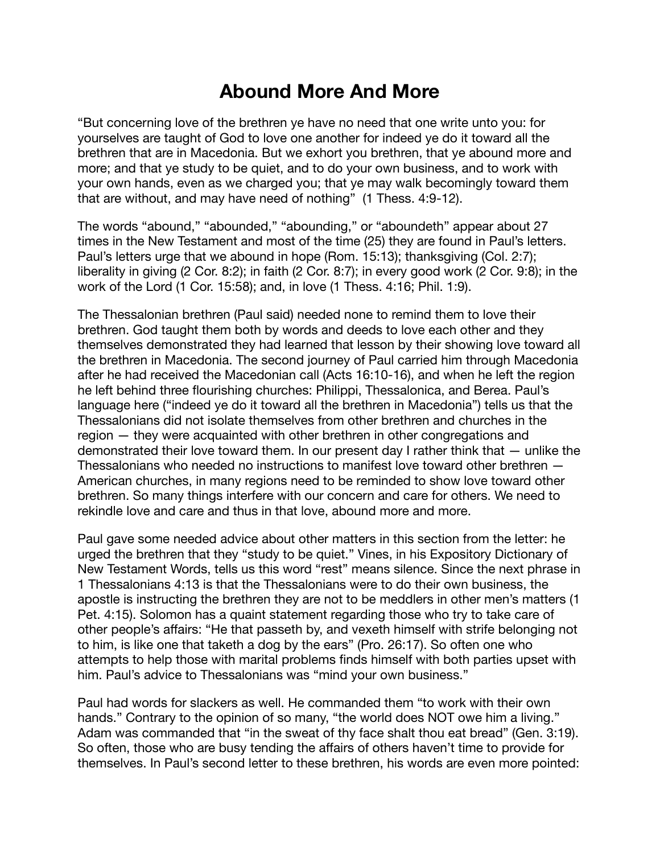## **Abound More And More**

"But concerning love of the brethren ye have no need that one write unto you: for yourselves are taught of God to love one another for indeed ye do it toward all the brethren that are in Macedonia. But we exhort you brethren, that ye abound more and more; and that ye study to be quiet, and to do your own business, and to work with your own hands, even as we charged you; that ye may walk becomingly toward them that are without, and may have need of nothing" (1 Thess. 4:9-12).

The words "abound," "abounded," "abounding," or "aboundeth" appear about 27 times in the New Testament and most of the time (25) they are found in Paul's letters. Paul's letters urge that we abound in hope (Rom. 15:13); thanksgiving (Col. 2:7); liberality in giving (2 Cor. 8:2); in faith (2 Cor. 8:7); in every good work (2 Cor. 9:8); in the work of the Lord (1 Cor. 15:58); and, in love (1 Thess. 4:16; Phil. 1:9).

The Thessalonian brethren (Paul said) needed none to remind them to love their brethren. God taught them both by words and deeds to love each other and they themselves demonstrated they had learned that lesson by their showing love toward all the brethren in Macedonia. The second journey of Paul carried him through Macedonia after he had received the Macedonian call (Acts 16:10-16), and when he left the region he left behind three flourishing churches: Philippi, Thessalonica, and Berea. Paul's language here ("indeed ye do it toward all the brethren in Macedonia") tells us that the Thessalonians did not isolate themselves from other brethren and churches in the region — they were acquainted with other brethren in other congregations and demonstrated their love toward them. In our present day I rather think that — unlike the Thessalonians who needed no instructions to manifest love toward other brethren — American churches, in many regions need to be reminded to show love toward other brethren. So many things interfere with our concern and care for others. We need to rekindle love and care and thus in that love, abound more and more.

Paul gave some needed advice about other matters in this section from the letter: he urged the brethren that they "study to be quiet." Vines, in his Expository Dictionary of New Testament Words, tells us this word "rest" means silence. Since the next phrase in 1 Thessalonians 4:13 is that the Thessalonians were to do their own business, the apostle is instructing the brethren they are not to be meddlers in other men's matters (1 Pet. 4:15). Solomon has a quaint statement regarding those who try to take care of other people's affairs: "He that passeth by, and vexeth himself with strife belonging not to him, is like one that taketh a dog by the ears" (Pro. 26:17). So often one who attempts to help those with marital problems finds himself with both parties upset with him. Paul's advice to Thessalonians was "mind your own business."

Paul had words for slackers as well. He commanded them "to work with their own hands." Contrary to the opinion of so many, "the world does NOT owe him a living." Adam was commanded that "in the sweat of thy face shalt thou eat bread" (Gen. 3:19). So often, those who are busy tending the affairs of others haven't time to provide for themselves. In Paul's second letter to these brethren, his words are even more pointed: